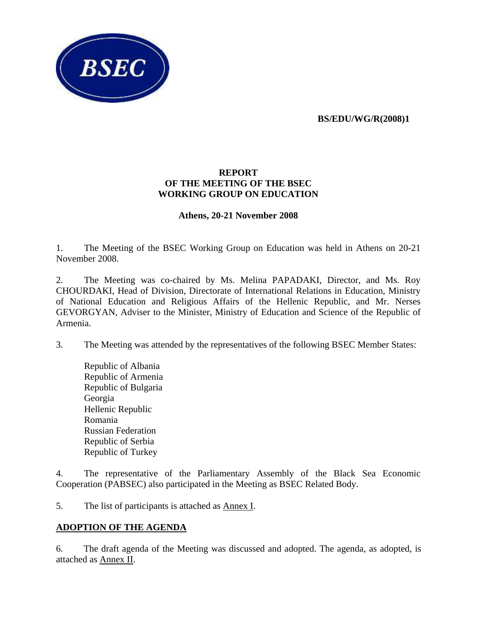**BS/EDU/WG/R(2008)1** 



#### **REPORT OF THE MEETING OF THE BSEC WORKING GROUP ON EDUCATION**

## **Athens, 20-21 November 2008**

1. The Meeting of the BSEC Working Group on Education was held in Athens on 20-21 November 2008.

2. The Meeting was co-chaired by Ms. Melina PAPADAKI, Director, and Ms. Roy CHOURDAKI, Head of Division, Directorate of International Relations in Education, Ministry of National Education and Religious Affairs of the Hellenic Republic, and Mr. Nerses GEVORGYAN, Adviser to the Minister, Ministry of Education and Science of the Republic of Armenia.

3. The Meeting was attended by the representatives of the following BSEC Member States:

Republic of Albania Republic of Armenia Republic of Bulgaria Georgia Hellenic Republic Romania Russian Federation Republic of Serbia Republic of Turkey

4. The representative of the Parliamentary Assembly of the Black Sea Economic Cooperation (PABSEC) also participated in the Meeting as BSEC Related Body.

5. The list of participants is attached as Annex I.

## **ADOPTION OF THE AGENDA**

6. The draft agenda of the Meeting was discussed and adopted. The agenda, as adopted, is attached as Annex II.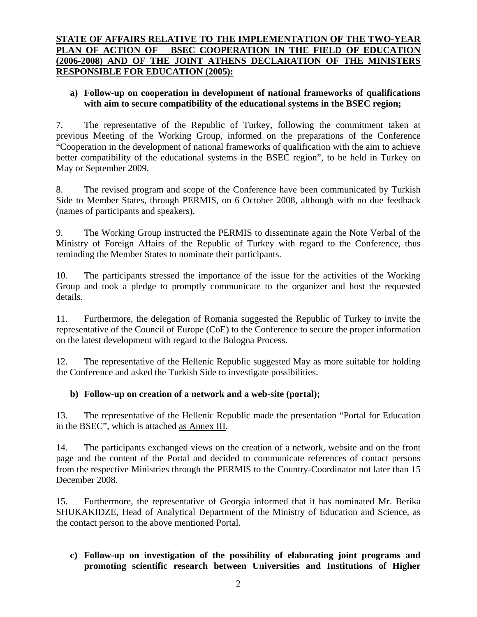# **STATE OF AFFAIRS RELATIVE TO THE IMPLEMENTATION OF THE TWO-YEAR PLAN OF ACTION OF BSEC COOPERATION IN THE FIELD OF EDUCATION (2006-2008) AND OF THE JOINT ATHENS DECLARATION OF THE MINISTERS RESPONSIBLE FOR EDUCATION (2005):**

## **a) Follow-up on cooperation in development of national frameworks of qualifications with aim to secure compatibility of the educational systems in the BSEC region;**

7. The representative of the Republic of Turkey, following the commitment taken at previous Meeting of the Working Group, informed on the preparations of the Conference "Cooperation in the development of national frameworks of qualification with the aim to achieve better compatibility of the educational systems in the BSEC region", to be held in Turkey on May or September 2009.

8. The revised program and scope of the Conference have been communicated by Turkish Side to Member States, through PERMIS, on 6 October 2008, although with no due feedback (names of participants and speakers).

9. The Working Group instructed the PERMIS to disseminate again the Note Verbal of the Ministry of Foreign Affairs of the Republic of Turkey with regard to the Conference, thus reminding the Member States to nominate their participants.

10. The participants stressed the importance of the issue for the activities of the Working Group and took a pledge to promptly communicate to the organizer and host the requested details.

11. Furthermore, the delegation of Romania suggested the Republic of Turkey to invite the representative of the Council of Europe (CoE) to the Conference to secure the proper information on the latest development with regard to the Bologna Process.

12. The representative of the Hellenic Republic suggested May as more suitable for holding the Conference and asked the Turkish Side to investigate possibilities.

## **b) Follow-up on creation of a network and a web-site (portal);**

13. The representative of the Hellenic Republic made the presentation "Portal for Education in the BSEC", which is attached as Annex III.

14. The participants exchanged views on the creation of a network, website and on the front page and the content of the Portal and decided to communicate references of contact persons from the respective Ministries through the PERMIS to the Country-Coordinator not later than 15 December 2008.

15. Furthermore, the representative of Georgia informed that it has nominated Mr. Berika SHUKAKIDZE, Head of Analytical Department of the Ministry of Education and Science, as the contact person to the above mentioned Portal.

# **c) Follow-up on investigation of the possibility of elaborating joint programs and promoting scientific research between Universities and Institutions of Higher**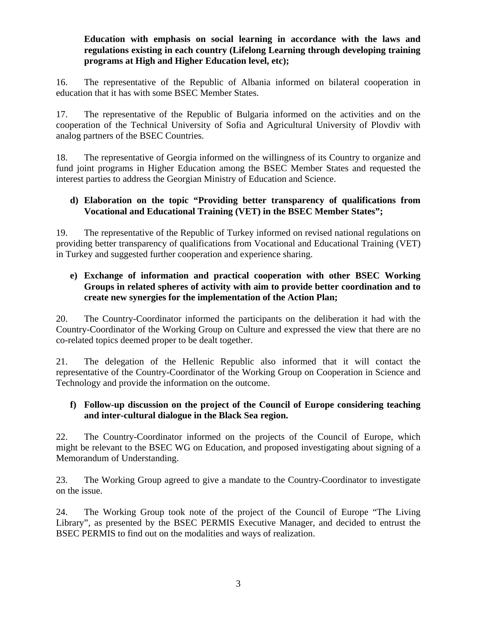## **Education with emphasis on social learning in accordance with the laws and regulations existing in each country (Lifelong Learning through developing training programs at High and Higher Education level, etc);**

16. The representative of the Republic of Albania informed on bilateral cooperation in education that it has with some BSEC Member States.

17. The representative of the Republic of Bulgaria informed on the activities and on the cooperation of the Technical University of Sofia and Agricultural University of Plovdiv with analog partners of the BSEC Countries.

18. The representative of Georgia informed on the willingness of its Country to organize and fund joint programs in Higher Education among the BSEC Member States and requested the interest parties to address the Georgian Ministry of Education and Science.

## **d) Elaboration on the topic "Providing better transparency of qualifications from Vocational and Educational Training (VET) in the BSEC Member States";**

19. The representative of the Republic of Turkey informed on revised national regulations on providing better transparency of qualifications from Vocational and Educational Training (VET) in Turkey and suggested further cooperation and experience sharing.

# **e) Exchange of information and practical cooperation with other BSEC Working Groups in related spheres of activity with aim to provide better coordination and to create new synergies for the implementation of the Action Plan;**

20. The Country-Coordinator informed the participants on the deliberation it had with the Country-Coordinator of the Working Group on Culture and expressed the view that there are no co-related topics deemed proper to be dealt together.

21. The delegation of the Hellenic Republic also informed that it will contact the representative of the Country-Coordinator of the Working Group on Cooperation in Science and Technology and provide the information on the outcome.

## **f) Follow-up discussion on the project of the Council of Europe considering teaching and inter-cultural dialogue in the Black Sea region.**

22. The Country-Coordinator informed on the projects of the Council of Europe, which might be relevant to the BSEC WG on Education, and proposed investigating about signing of a Memorandum of Understanding.

23. The Working Group agreed to give a mandate to the Country-Coordinator to investigate on the issue.

24. The Working Group took note of the project of the Council of Europe "The Living Library"*,* as presented by the BSEC PERMIS Executive Manager, and decided to entrust the BSEC PERMIS to find out on the modalities and ways of realization.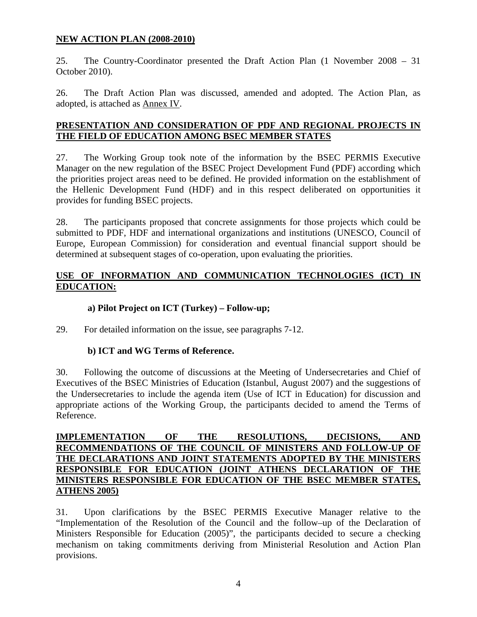#### **NEW ACTION PLAN (2008-2010)**

25. The Country-Coordinator presented the Draft Action Plan (1 November 2008 – 31 October 2010).

26. The Draft Action Plan was discussed, amended and adopted. The Action Plan, as adopted, is attached as Annex IV.

#### **PRESENTATION AND CONSIDERATION OF PDF AND REGIONAL PROJECTS IN THE FIELD OF EDUCATION AMONG BSEC MEMBER STATES**

27. The Working Group took note of the information by the BSEC PERMIS Executive Manager on the new regulation of the BSEC Project Development Fund (PDF) according which the priorities project areas need to be defined. He provided information on the establishment of the Hellenic Development Fund (HDF) and in this respect deliberated on opportunities it provides for funding BSEC projects.

28. The participants proposed that concrete assignments for those projects which could be submitted to PDF, HDF and international organizations and institutions (UNESCO, Council of Europe, European Commission) for consideration and eventual financial support should be determined at subsequent stages of co-operation, upon evaluating the priorities.

# **USE OF INFORMATION AND COMMUNICATION TECHNOLOGIES (ICT) IN EDUCATION:**

# **a) Pilot Project on ICT (Turkey) – Follow-up;**

29. For detailed information on the issue, see paragraphs 7-12.

## **b) ICT and WG Terms of Reference.**

30. Following the outcome of discussions at the Meeting of Undersecretaries and Chief of Executives of the BSEC Ministries of Education (Istanbul, August 2007) and the suggestions of the Undersecretaries to include the agenda item (Use of ICT in Education) for discussion and appropriate actions of the Working Group, the participants decided to amend the Terms of Reference.

## **IMPLEMENTATION OF THE RESOLUTIONS, DECISIONS, AND RECOMMENDATIONS OF THE COUNCIL OF MINISTERS AND FOLLOW-UP OF THE DECLARATIONS AND JOINT STATEMENTS ADOPTED BY THE MINISTERS RESPONSIBLE FOR EDUCATION (JOINT ATHENS DECLARATION OF THE MINISTERS RESPONSIBLE FOR EDUCATION OF THE BSEC MEMBER STATES, ATHENS 2005)**

31. Upon clarifications by the BSEC PERMIS Executive Manager relative to the "Implementation of the Resolution of the Council and the follow–up of the Declaration of Ministers Responsible for Education (2005)", the participants decided to secure a checking mechanism on taking commitments deriving from Ministerial Resolution and Action Plan provisions.